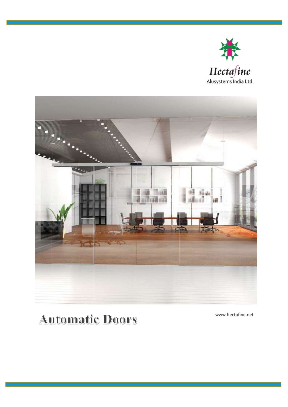



# **Automatic Doors**

www.hectafine.net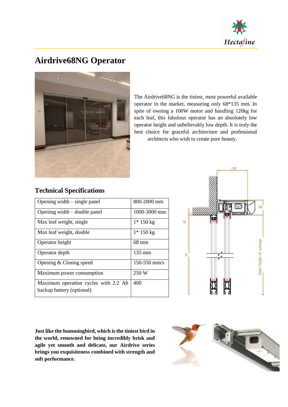

### **Airdrive68NG Operator**



The Airdrive68NG is the tiniest, most powerful available operator in the market, measuring only 68\*135 mm. In spite of owning a 100W motor and handling 120kg for each leaf, this fabulous operator has an absolutely low operator height and unbelievably low depth. It is truly the best choice for graceful architecture and professional architects who wish to create pure beauty.

#### **Technical Specifications**

| Opening width $-$ single panel       | 800-2000 mm      |
|--------------------------------------|------------------|
| Opening width $-$ double panel       | 1000-3000 mm     |
| Max leaf weight, single              | $1*150$ kg       |
| Max leaf weight, double              | $1*150$ kg       |
| Operator height                      | 68 mm            |
| Operator depth                       | $135 \text{ mm}$ |
| Opening $& Classing speed$           | $150 - 550$ mm/s |
| Maximum power consumption            | 250 W            |
| Maximum operation cycles with 2.2 Ah | 400              |
| backup battery (optional)            |                  |



**Just like the hummingbird, which is the tiniest bird in the world, renowned for being incredibly brisk and agile yet smooth and delicate, our Airdrive series brings you exquisiteness combined with strength and soft performance.**

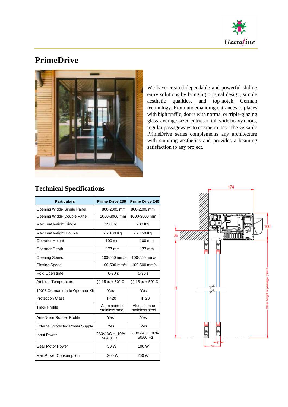

## **PrimeDrive**



We have created dependable and powerful sliding entry solutions by bringing original design, simple aesthetic qualities, and top-notch German technology. From undemanding entrances to places with high traffic, doors with normal or triple-glazing glass, average-sized entries or tall wide heavy doors, regular passageways to escape routes. The versatile PrimeDrive series complements any architecture with stunning aesthetics and provides a beaming satisfaction to any project.

| <b>Particulars</b>                     | <b>Prime Drive 239</b>          | <b>Prime Drive 240</b>          |
|----------------------------------------|---------------------------------|---------------------------------|
| Opening Width-Single Panel             | 800-2000 mm                     | 800-2000 mm                     |
| Opening Width-Double Panel             | 1000-3000 mm                    | 1000-3000 mm                    |
| Max Leaf weight Single                 | 150 Kg                          | 200 Kg                          |
| Max Leaf weight Double                 | 2 x 100 Kg                      | 2 x 150 Kg                      |
| Operator Height                        | 100 mm                          | $100 \text{ mm}$                |
| <b>Operator Depth</b>                  | 177 mm                          | 177 mm                          |
| <b>Opening Speed</b>                   | 100-550 mm/s                    | 100-550 mm/s                    |
| <b>Closing Speed</b>                   | 100-500 mm/s                    | 100-500 mm/s                    |
| Hold Open time                         | $0 - 30 s$                      | $0 - 30 s$                      |
| <b>Ambient Temperature</b>             | (-) 15 to $+50^{\circ}$ C       | $(-) 15$ to $+ 50^{\circ}$ C    |
| 100% German made Operator Kit          | Yes                             | Yes                             |
| <b>Protection Class</b>                | <b>IP 20</b>                    | IP 20                           |
| <b>Track Profile</b>                   | Aluminium or<br>stainless steel | Aluminium or<br>stainless steel |
| Anti-Noise Rubber Profile              | Yes                             | Yes                             |
| <b>External Protected Power Supply</b> | Yes                             | Yes                             |
| <b>Input Power</b>                     | 230V AC +_10%<br>50/60 Hz       | 230V AC + 10%<br>50/60 Hz       |
| <b>Gear Motor Power</b>                | 50 W                            | 100 W                           |
| Max Power Consumption                  | 200 W                           | 250 W                           |

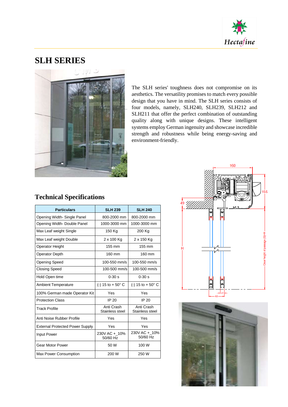

### **SLH SERIES**



The SLH series' toughness does not compromise on its aesthetics. The versatility promises to match every possible design that you have in mind. The SLH series consists of four models, namely, SLH240, SLH239, SLH212 and SLH211 that offer the perfect combination of outstanding quality along with unique designs. These intelligent systems employ German ingenuity and showcase incredible strength and robustness while being energy-saving and environment-friendly.

| <b>Particulars</b>                     | <b>SLH 239</b>                | <b>SLH 240</b>                |
|----------------------------------------|-------------------------------|-------------------------------|
| Opening Width-Single Panel             | 800-2000 mm                   | 800-2000 mm                   |
| Opening Width-Double Panel             | 1000-3000 mm                  | 1000-3000 mm                  |
| Max Leaf weight Single                 | 150 Kg                        | 200 Kg                        |
| Max Leaf weight Double                 | 2 x 100 Kg                    | 2 x 150 Kg                    |
| <b>Operator Height</b>                 | 155 mm                        | 155 mm                        |
| Operator Depth                         | 160 mm                        | 160 mm                        |
| <b>Opening Speed</b>                   | 100-550 mm/s                  | 100-550 mm/s                  |
| <b>Closing Speed</b>                   | 100-500 mm/s                  | 100-500 mm/s                  |
| Hold Open time                         | $0 - 30 s$                    | $0 - 30 s$                    |
| <b>Ambient Temperature</b>             | (-) 15 to $+50^{\circ}$ C     | (-) 15 to $+50^{\circ}$ C     |
| 100% German made Operator Kit          | Yes                           | Yes                           |
| <b>Protection Class</b>                | IP 20                         | IP 20                         |
| <b>Track Profile</b>                   | Anti Crash<br>Stainless steel | Anti Crash<br>Stainless steel |
| Anti Noise Rubber Profile              | Yes                           | Yes                           |
| <b>External Protected Power Supply</b> | Yes                           | Yes                           |
| <b>Input Power</b>                     | 230V AC + 10%<br>50/60 Hz     | 230V AC + 10%<br>50/60 Hz     |
| <b>Gear Motor Power</b>                | 50 W                          | 100 W                         |
| Max Power Consumption                  | 200 W                         | 250 W                         |



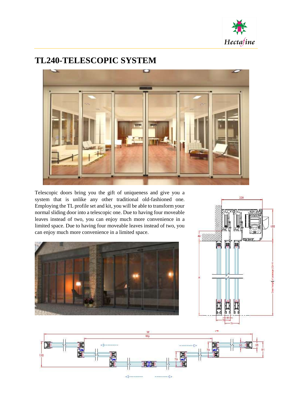

### **TL240-TELESCOPIC SYSTEM**



Telescopic doors bring you the gift of uniqueness and give you a system that is unlike any other traditional old-fashioned one. Employing the TL profile set and kit, you will be able to transform your normal sliding door into a telescopic one. Due to having four moveable leaves instead of two, you can enjoy much more convenience in a limited space. Due to having four moveable leaves instead of two, you can enjoy much more convenience in a limited space.





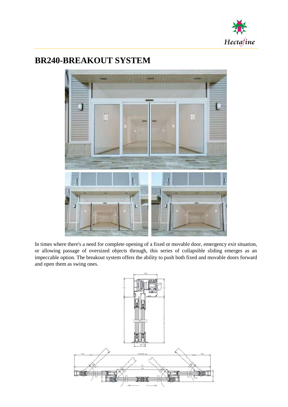

### **BR240-BREAKOUT SYSTEM**



In times where there's a need for complete opening of a fixed or movable door, emergency exit situation, or allowing passage of oversized objects through, this series of collapsible sliding emerges as an impeccable option. The breakout system offers the ability to push both fixed and movable doors forward and open them as swing ones.

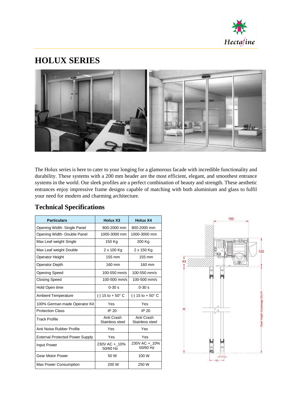

### **HOLUX SERIES**



The Holux series is here to cater to your longing for a glamorous facade with incredible functionality and durability. These systems with a 200 mm header are the most efficient, elegant, and smoothest entrance systems in the world. Our sleek profiles are a perfect combination of beauty and strength. These aesthetic entrances enjoy impressive frame designs capable of matching with both aluminium and glass to fulfil your need for modern and charming architecture.

| <b>Particulars</b>                     | <b>Holux X3</b>               | Holux X4                      |
|----------------------------------------|-------------------------------|-------------------------------|
| Opening Width-Single Panel             | 800-2000 mm                   | 800-2000 mm                   |
| Opening Width-Double Panel             | 1000-3000 mm                  | 1000-3000 mm                  |
| Max Leaf weight Single                 | 150 Kg                        | 200 Kg                        |
| Max Leaf weight Double                 | 2 x 100 Kg                    | 2 x 150 Kg                    |
| <b>Operator Height</b>                 | 155 mm                        | 155 mm                        |
| <b>Operator Depth</b>                  | 160 mm                        | 160 mm                        |
| <b>Opening Speed</b>                   | 100-550 mm/s                  | 100-550 mm/s                  |
| <b>Closing Speed</b>                   | 100-500 mm/s                  | 100-500 mm/s                  |
| Hold Open time                         | $0 - 30s$                     | $0 - 30s$                     |
| <b>Ambient Temperature</b>             | (-) 15 to $+50^{\circ}$ C     | (-) 15 to $+50^{\circ}$ C     |
| 100% German made Operator Kit          | Yes                           | Yes                           |
| <b>Protection Class</b>                | IP 20                         | IP 20                         |
| Track Profile                          | Anti Crash<br>Stainless steel | Anti Crash<br>Stainless steel |
| Anti Noise Rubber Profile              | Yes                           | Yes                           |
| <b>External Protected Power Supply</b> | Yes                           | Yes                           |
| <b>Input Power</b>                     | 230V AC + 10%<br>50/60 Hz     | 230V AC + 10%<br>50/60 Hz     |
| Gear Motor Power                       | 50 W                          | 100 W                         |
| <b>Max Power Consumption</b>           | 200 W                         | 250 W                         |

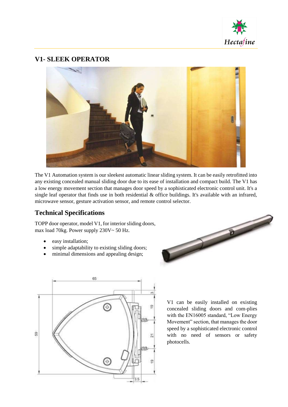

#### **V1- SLEEK OPERATOR**



The V1 Automation system is our sleekest automatic linear sliding system. It can be easily retrofitted into any existing concealed manual sliding door due to its ease of installation and compact build. The V1 has a low energy movement section that manages door speed by a sophisticated electronic control unit. It's a single leaf operator that finds use in both residential & office buildings. It's available with an infrared, microwave sensor, gesture activation sensor, and remote control selector.

#### **Technical Specifications**

TOPP door operator, model V1, for interior sliding doors, max load 70kg. Power supply 230V~ 50 Hz.

- easy installation;
- simple adaptability to existing sliding doors;
- minimal dimensions and appealing design;





V1 can be easily installed on existing concealed sliding doors and com-plies with the EN16005 standard, "Low Energy Movement" section, that manages the door speed by a sophisticated electronic control with no need of sensors or safety photocells.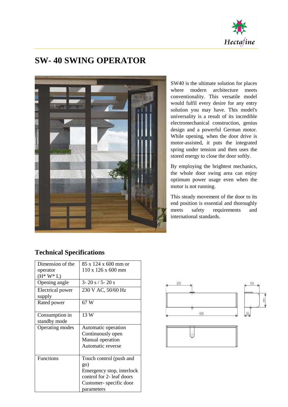

### **SW- 40 SWING OPERATOR**



SW40 is the ultimate solution for places where modern architecture meets conventionality. This versatile model would fulfil every desire for any entry solution you may have. This model's universality is a result of its incredible electromechanical construction, genius design and a powerful German motor. While opening, when the door drive is motor-assisted, it puts the integrated spring under tension and then uses the stored energy to close the door softly.

By employing the brightest mechanics, the whole door swing area can enjoy optimum power usage even when the motor is not running.

This steady movement of the door to its end position is essential and thoroughly meets safety requirements and international standards.

| Dimension of the | 85 x 124 x 600 mm or           |
|------------------|--------------------------------|
|                  |                                |
| operator         | $110 \times 126 \times 600$ mm |
| $(H^* W^* L)$    |                                |
| Opening angle    | $3 - 20 s / 5 - 20 s$          |
| Electrical power | 230 V AC, 50/60 Hz             |
| supply           |                                |
| Rated power      | 67 W                           |
|                  |                                |
| Consumption in   | 13 W                           |
| standby mode     |                                |
| Operating modes  | Automatic operation            |
|                  | Continuously open              |
|                  | Manual operation               |
|                  | Automatic reverse              |
|                  |                                |
| <b>Functions</b> | Touch control (push and        |
|                  | go)                            |
|                  | Emergency stop, interlock      |
|                  | control for 2- leaf doors      |
|                  | Customer-specific door         |
|                  | parameters                     |



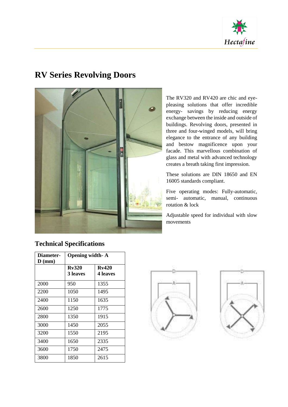

### **RV Series Revolving Doors**



The RV320 and RV420 are chic and eyepleasing solutions that offer incredible energy- savings by reducing energy exchange between the inside and outside of buildings. Revolving doors, presented in three and four-winged models, will bring elegance to the entrance of any building and bestow magnificence upon your facade. This marvellous combination of glass and metal with advanced technology creates a breath taking first impression.

These solutions are DIN 18650 and EN 16005 standards compliant.

Five operating modes: Fully-automatic, semi- automatic, manual, continuous rotation & lock

Adjustable speed for individual with slow movements

| Diameter-         | <b>Opening width-A</b>   |                                 |
|-------------------|--------------------------|---------------------------------|
| $\mathbf{D}$ (mm) | Rv320<br><b>3</b> leaves | <b>Rv420</b><br><b>4 leaves</b> |
| 2000              | 950                      | 1355                            |
| 2200              | 1050                     | 1495                            |
| 2400              | 1150                     | 1635                            |
| 2600              | 1250                     | 1775                            |
| 2800              | 1350                     | 1915                            |
| 3000              | 1450                     | 2055                            |
| 3200              | 1550                     | 2195                            |
| 3400              | 1650                     | 2335                            |
| 3600              | 1750                     | 2475                            |
| 3800              | 1850                     | 2615                            |